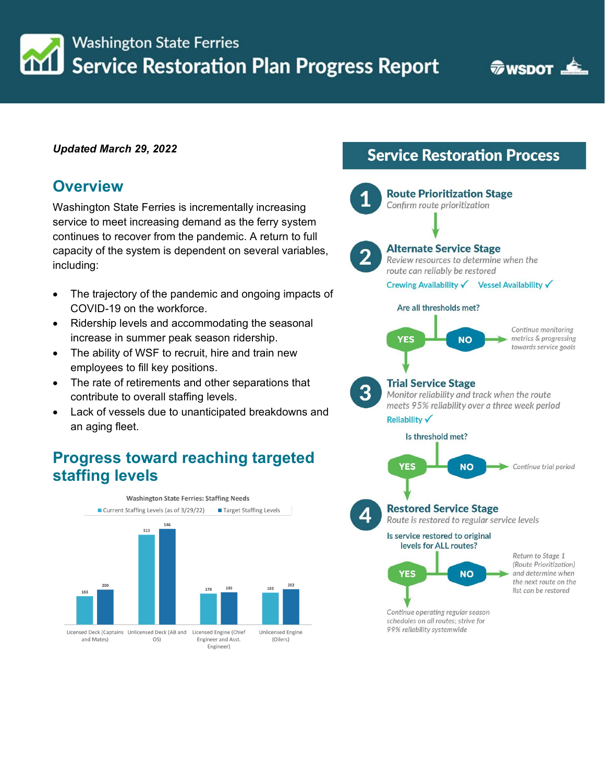**Service Restoration Plan Progress Report** 

**WISDOT** 

#### *Updated March 29, 2022*

**Washington State Ferries** 

### **Overview**

Washington State Ferries is incrementally increasing service to meet increasing demand as the ferry system continues to recover from the pandemic. A return to full capacity of the system is dependent on several variables, including:

- The trajectory of the pandemic and ongoing impacts of COVID-19 on the workforce.
- Ridership levels and accommodating the seasonal increase in summer peak season ridership.
- The ability of WSF to recruit, hire and train new employees to fill key positions.
- The rate of retirements and other separations that contribute to overall staffing levels.
- Lack of vessels due to unanticipated breakdowns and an aging fleet.

### **Progress toward reaching targeted staffing levels**



# **Service Restoration Process**